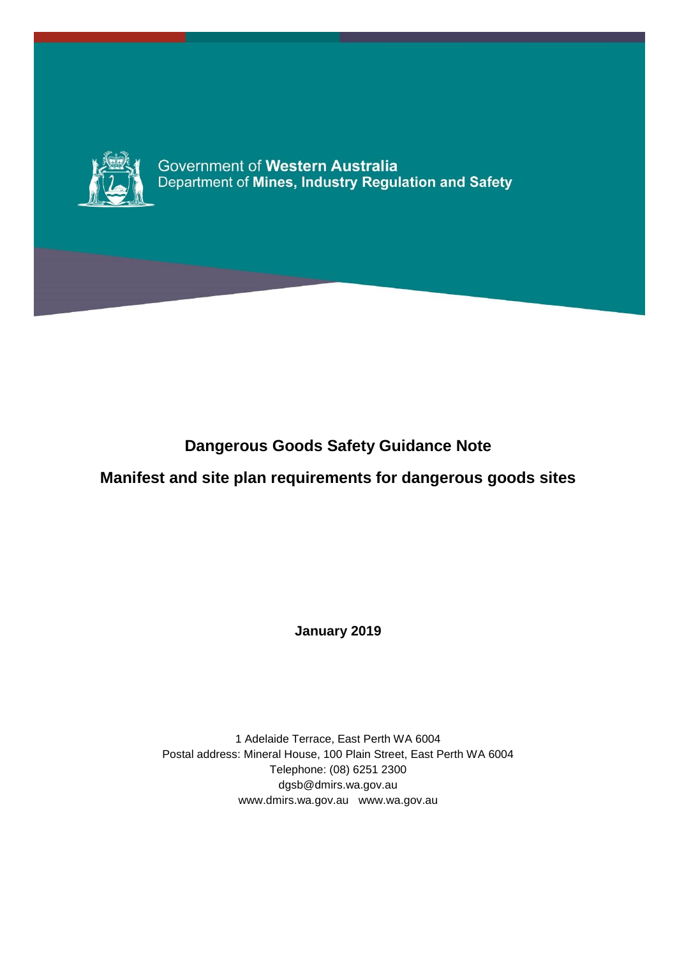

Government of Western Australia<br>Department of Mines, Industry Regulation and Safety

# **Dangerous Goods Safety Guidance Note**

## **Manifest and site plan requirements for dangerous goods sites**

**January 2019**

1 Adelaide Terrace, East Perth WA 6004 Postal address: Mineral House, 100 Plain Street, East Perth WA 6004 Telephone: (08) 6251 2300 dgsb@dmirs.wa.gov.au www.dmirs.wa.gov.au www.wa.gov.au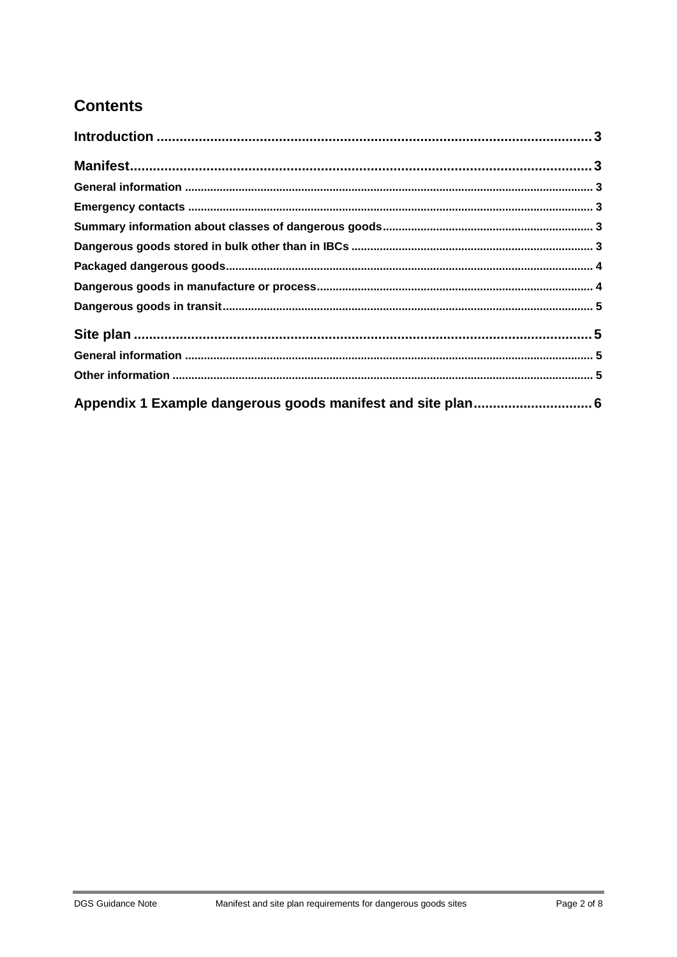# **Contents**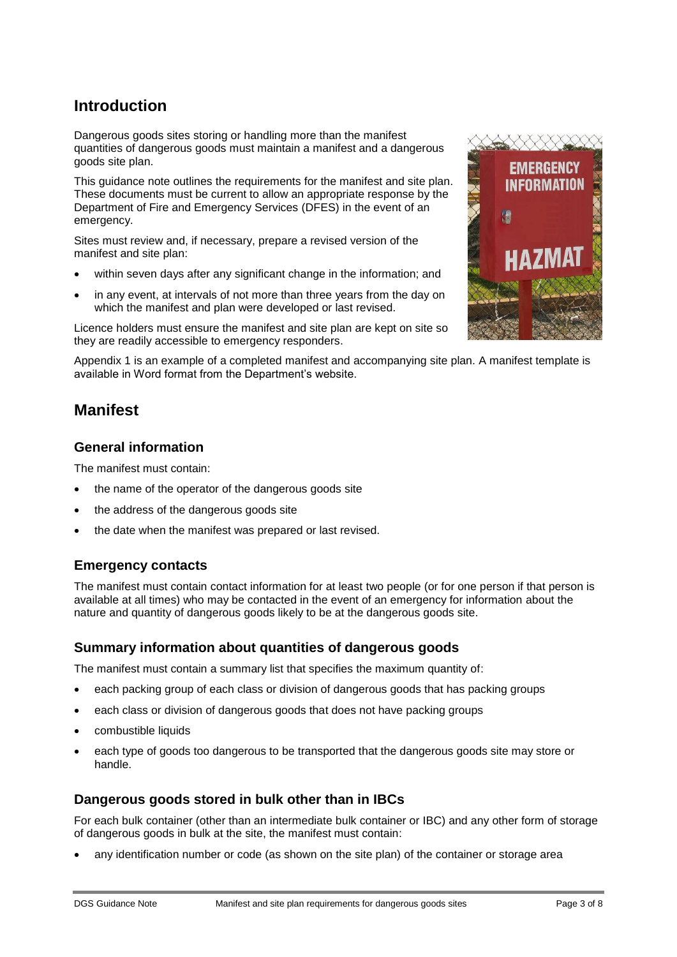## <span id="page-2-0"></span>**Introduction**

Dangerous goods sites storing or handling more than the manifest quantities of dangerous goods must maintain a manifest and a dangerous goods site plan.

This guidance note outlines the requirements for the manifest and site plan. These documents must be current to allow an appropriate response by the Department of Fire and Emergency Services (DFES) in the event of an emergency.

Sites must review and, if necessary, prepare a revised version of the manifest and site plan:

- within seven days after any significant change in the information; and
- in any event, at intervals of not more than three years from the day on which the manifest and plan were developed or last revised.

Licence holders must ensure the manifest and site plan are kept on site so they are readily accessible to emergency responders.

Appendix 1 is an example of a completed manifest and accompanying site plan. A manifest template is available in Word format from the Department's website.

## <span id="page-2-1"></span>**Manifest**

## <span id="page-2-2"></span>**General information**

The manifest must contain:

- the name of the operator of the dangerous goods site
- the address of the dangerous goods site
- the date when the manifest was prepared or last revised.

## <span id="page-2-3"></span>**Emergency contacts**

The manifest must contain contact information for at least two people (or for one person if that person is available at all times) who may be contacted in the event of an emergency for information about the nature and quantity of dangerous goods likely to be at the dangerous goods site.

#### <span id="page-2-4"></span>**Summary information about quantities of dangerous goods**

The manifest must contain a summary list that specifies the maximum quantity of:

- each packing group of each class or division of dangerous goods that has packing groups
- each class or division of dangerous goods that does not have packing groups
- combustible liquids
- each type of goods too dangerous to be transported that the dangerous goods site may store or handle.

## <span id="page-2-5"></span>**Dangerous goods stored in bulk other than in IBCs**

For each bulk container (other than an intermediate bulk container or IBC) and any other form of storage of dangerous goods in bulk at the site, the manifest must contain:

any identification number or code (as shown on the site plan) of the container or storage area

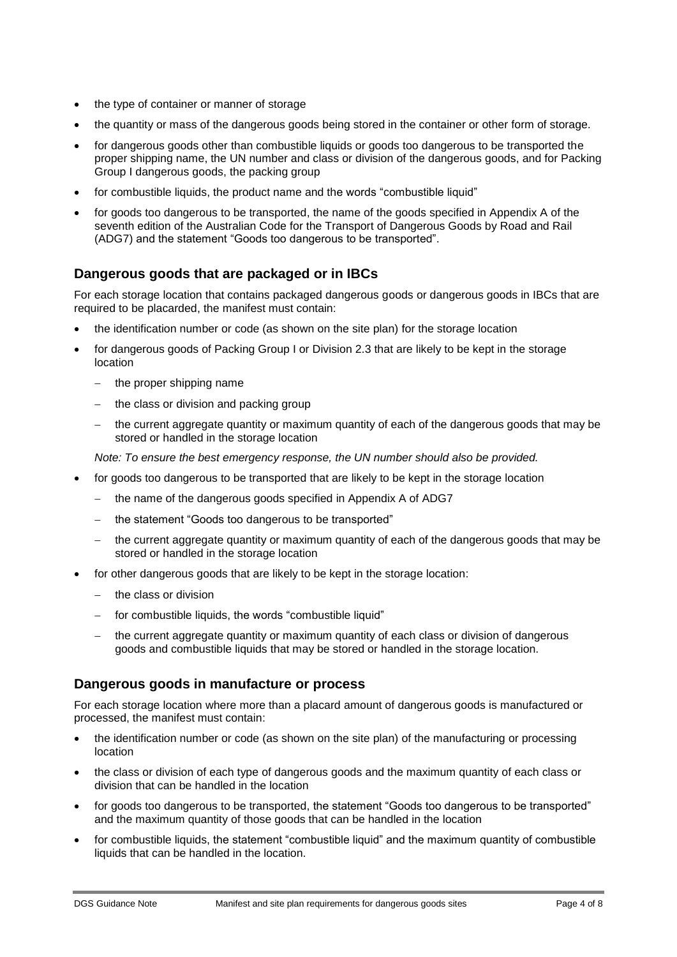- the type of container or manner of storage
- the quantity or mass of the dangerous goods being stored in the container or other form of storage.
- for dangerous goods other than combustible liquids or goods too dangerous to be transported the proper shipping name, the UN number and class or division of the dangerous goods, and for Packing Group I dangerous goods, the packing group
- for combustible liquids, the product name and the words "combustible liquid"
- for goods too dangerous to be transported, the name of the goods specified in Appendix A of the seventh edition of the Australian Code for the Transport of Dangerous Goods by Road and Rail (ADG7) and the statement "Goods too dangerous to be transported".

## <span id="page-3-0"></span>**Dangerous goods that are packaged or in IBCs**

For each storage location that contains packaged dangerous goods or dangerous goods in IBCs that are required to be placarded, the manifest must contain:

- the identification number or code (as shown on the site plan) for the storage location
- for dangerous goods of Packing Group I or Division 2.3 that are likely to be kept in the storage location
	- the proper shipping name
	- the class or division and packing group
	- the current aggregate quantity or maximum quantity of each of the dangerous goods that may be stored or handled in the storage location

*Note: To ensure the best emergency response, the UN number should also be provided.*

- for goods too dangerous to be transported that are likely to be kept in the storage location
	- the name of the dangerous goods specified in Appendix A of ADG7
	- the statement "Goods too dangerous to be transported"
	- the current aggregate quantity or maximum quantity of each of the dangerous goods that may be stored or handled in the storage location
- for other dangerous goods that are likely to be kept in the storage location:
	- the class or division
	- for combustible liquids, the words "combustible liquid"
	- the current aggregate quantity or maximum quantity of each class or division of dangerous goods and combustible liquids that may be stored or handled in the storage location.

#### <span id="page-3-1"></span>**Dangerous goods in manufacture or process**

For each storage location where more than a placard amount of dangerous goods is manufactured or processed, the manifest must contain:

- the identification number or code (as shown on the site plan) of the manufacturing or processing location
- the class or division of each type of dangerous goods and the maximum quantity of each class or division that can be handled in the location
- for goods too dangerous to be transported, the statement "Goods too dangerous to be transported" and the maximum quantity of those goods that can be handled in the location
- for combustible liquids, the statement "combustible liquid" and the maximum quantity of combustible liquids that can be handled in the location.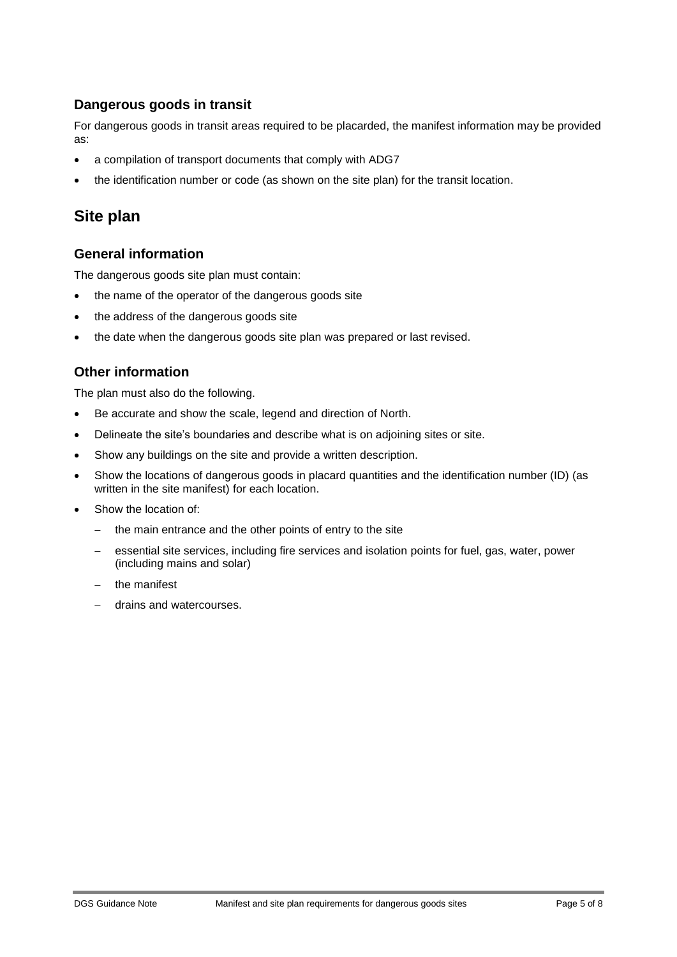## <span id="page-4-0"></span>**Dangerous goods in transit**

For dangerous goods in transit areas required to be placarded, the manifest information may be provided as:

- a compilation of transport documents that comply with ADG7
- the identification number or code (as shown on the site plan) for the transit location.

## <span id="page-4-1"></span>**Site plan**

## <span id="page-4-2"></span>**General information**

The dangerous goods site plan must contain:

- the name of the operator of the dangerous goods site
- the address of the dangerous goods site
- the date when the dangerous goods site plan was prepared or last revised.

## <span id="page-4-3"></span>**Other information**

The plan must also do the following.

- Be accurate and show the scale, legend and direction of North.
- Delineate the site's boundaries and describe what is on adjoining sites or site.
- Show any buildings on the site and provide a written description.
- Show the locations of dangerous goods in placard quantities and the identification number (ID) (as written in the site manifest) for each location.
- Show the location of:
	- the main entrance and the other points of entry to the site
	- essential site services, including fire services and isolation points for fuel, gas, water, power (including mains and solar)
	- the manifest
	- drains and watercourses.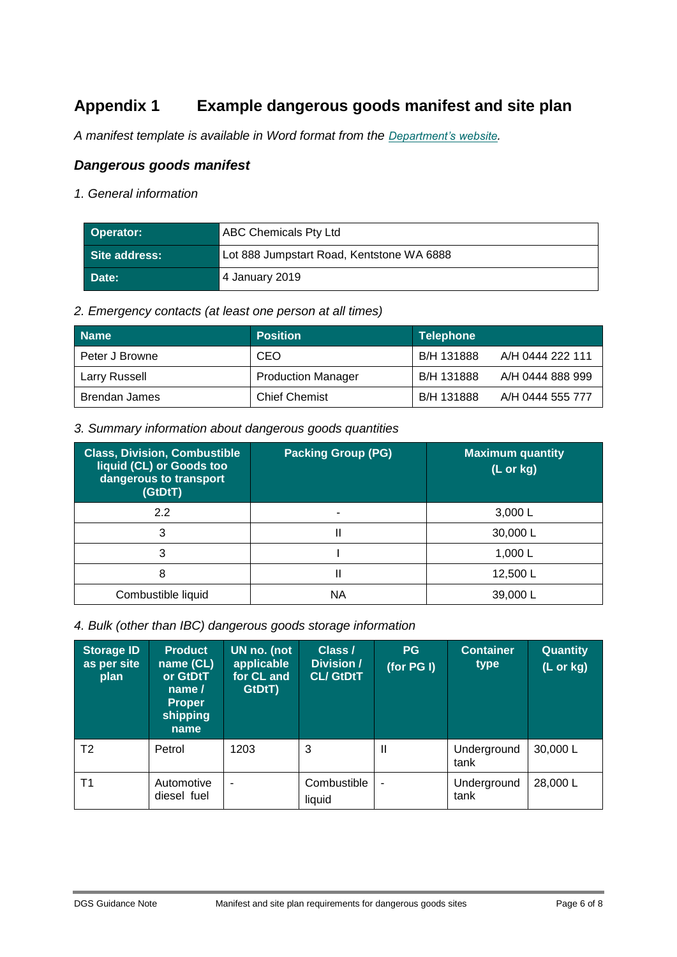## <span id="page-5-0"></span>**Appendix 1 Example dangerous goods manifest and site plan**

*A manifest template is available in Word format from the [Department's website](http://www.dmirs.wa.gov.au/).*

### *Dangerous goods manifest*

*1. General information*

| Operator:         | <b>ABC Chemicals Pty Ltd</b>              |
|-------------------|-------------------------------------------|
| . Site address: ˈ | Lot 888 Jumpstart Road, Kentstone WA 6888 |
| Date:             | 4 January 2019                            |

#### *2. Emergency contacts (at least one person at all times)*

| <b>Name</b>          | <b>Position</b>           | <b>Telephone</b>               |
|----------------------|---------------------------|--------------------------------|
| Peter J Browne       | <b>CEO</b>                | B/H 131888<br>A/H 0444 222 111 |
| Larry Russell        | <b>Production Manager</b> | A/H 0444 888 999<br>B/H 131888 |
| <b>Brendan James</b> | <b>Chief Chemist</b>      | B/H 131888<br>A/H 0444 555 777 |

#### *3. Summary information about dangerous goods quantities*

| <b>Class, Division, Combustible</b><br>liquid (CL) or Goods too<br>dangerous to transport<br>(GtDtT) | <b>Packing Group (PG)</b> | <b>Maximum quantity</b><br>$(L$ or $kg)$ |
|------------------------------------------------------------------------------------------------------|---------------------------|------------------------------------------|
| 2.2                                                                                                  |                           | 3,000 L                                  |
| 3                                                                                                    |                           | 30,000L                                  |
| 3                                                                                                    |                           | 1,000 $L$                                |
| 8                                                                                                    |                           | 12,500L                                  |
| Combustible liquid                                                                                   | ΝA                        | 39,000L                                  |

*4. Bulk (other than IBC) dangerous goods storage information*

| Storage ID<br>as per site<br>plan | <b>Product</b><br>name (CL)<br>or GtDtT<br>name $\sqrt{ }$<br><b>Proper</b><br>shipping<br>name | UN no. (not<br>applicable<br>for CL and<br>GtDtT) | Class /<br>Division /<br><b>CL/ GtDtT</b> | <b>PG</b><br>(for $PG I$ ) | <b>Container</b><br>type | <b>Quantity</b><br>(L or kg) |
|-----------------------------------|-------------------------------------------------------------------------------------------------|---------------------------------------------------|-------------------------------------------|----------------------------|--------------------------|------------------------------|
| T <sub>2</sub>                    | Petrol                                                                                          | 1203                                              | 3                                         | $\mathbf{I}$               | Underground<br>tank      | 30,000 L                     |
| T <sub>1</sub>                    | Automotive<br>diesel fuel                                                                       | $\blacksquare$                                    | Combustible<br>liquid                     | ä,                         | Underground<br>tank      | 28,000 L                     |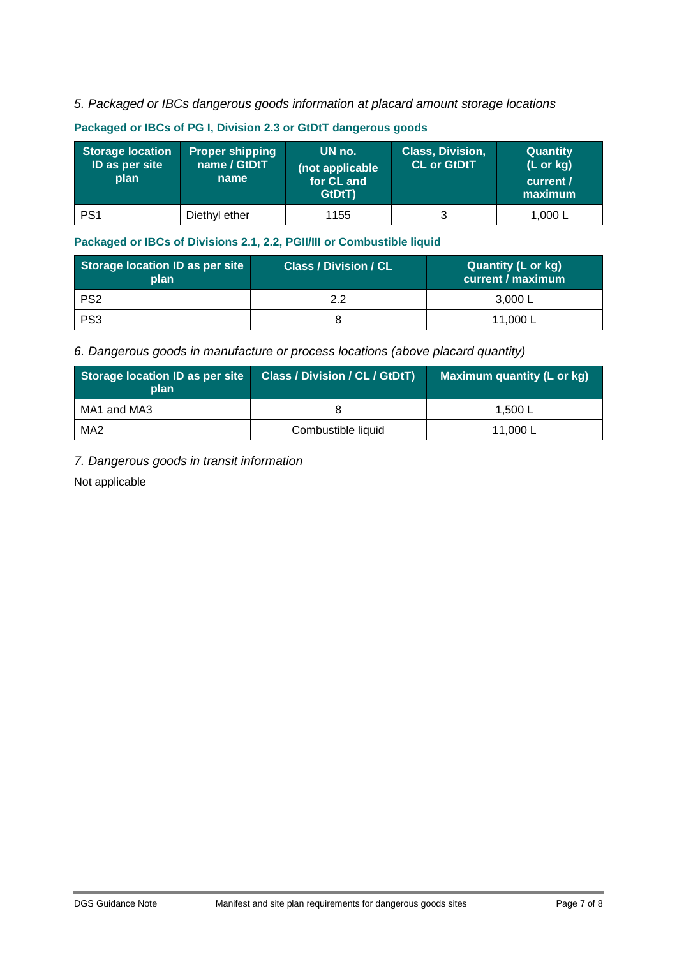### *5. Packaged or IBCs dangerous goods information at placard amount storage locations*

| <b>Storage location</b><br>ID as per site<br>plan | <b>Proper shipping</b><br>name / GtDtT<br>name | UN no.<br>(not applicable<br>for CL and<br>GtDtT) | <b>Class, Division,</b><br><b>CL or GtDtT</b> | <b>Quantity</b><br>$(L \text{ or } kg)$<br>current /<br>maximum |
|---------------------------------------------------|------------------------------------------------|---------------------------------------------------|-----------------------------------------------|-----------------------------------------------------------------|
| PS <sub>1</sub>                                   | Diethyl ether                                  | 1155                                              | 3                                             | 1,000 $L$                                                       |

#### **Packaged or IBCs of PG I, Division 2.3 or GtDtT dangerous goods**

#### **Packaged or IBCs of Divisions 2.1, 2.2, PGII/III or Combustible liquid**

| Storage location ID as per site<br>plan | <b>Class / Division / CL</b> | <b>Quantity (L or kg)</b><br>current / maximum |
|-----------------------------------------|------------------------------|------------------------------------------------|
| PS <sub>2</sub>                         | っっ                           | 3.000 L                                        |
| PS <sub>3</sub>                         |                              | 11,000 L                                       |

#### *6. Dangerous goods in manufacture or process locations (above placard quantity)*

| Storage location ID as per site<br>plan | <b>Class / Division / CL / GtDtT)</b> | Maximum quantity (L or kg) |
|-----------------------------------------|---------------------------------------|----------------------------|
| MA1 and MA3                             |                                       | 1.500L                     |
| MA <sub>2</sub>                         | Combustible liquid                    | 11.000 L                   |

### *7. Dangerous goods in transit information*

Not applicable